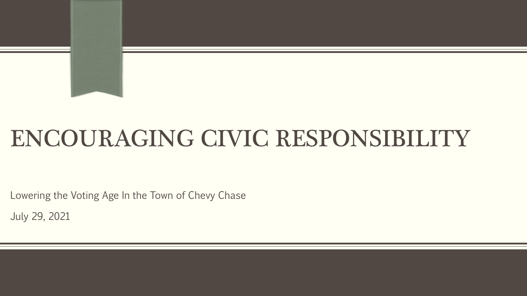## ENCOURAGING CIVIC RESPONSIBILITY

Lowering the Voting Age In the Town of Chevy Chase

July 29, 2021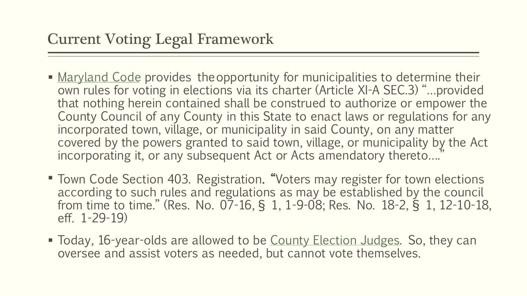- [Maryland Code](mailto:https://msa.maryland.gov/msa/mdmanual/43const/html/11aar.html) provides theopportunity for municipalities to determine their own rules for voting in elections via its charter (Article XI-A SEC.3) "…provided that nothing herein contained shall be construed to authorize or empower the County Council of any County in this State to enact laws or regulations for any incorporated town, village, or municipality in said County, on any matter covered by the powers granted to said town, village, or municipality by the Act incorporating it, or any subsequent Act or Acts amendatory thereto…."
- Town Code Section 403. Registration. "Voters may register for town elections according to such rules and regulations as may be established by the council from time to time." (Res. No. 07-16, § 1, 1-9-08; Res. No. 18-2, § 1, 12-10-18, eff. 1-29-19)
- Today, 16-year-olds are allowed to be [County Election Judges](mailto:https://www.montgomerycountymd.gov/Elections/ElectionJudge/Overview.html). So, they can oversee and assist voters as needed, but cannot vote themselves.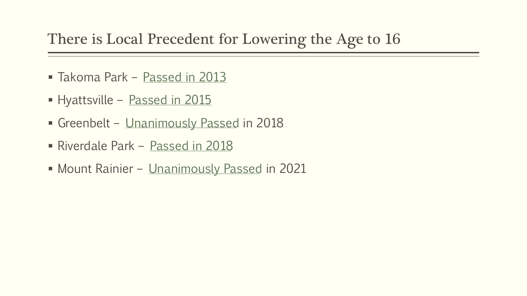## There is Local Precedent for Lowering the Age to 16

- Takoma Park [Passed in 2013](mailto:https://www.washingtonpost.com/local/takoma-park-grants-16-year-olds-right-to-vote/2013/05/14/b27c52c4-bccd-11e2-89c9-3be8095fe767_story.html)
- Hyattsville [Passed in 2015](mailto:https://www.washingtonpost.com/local/md-politics/hyattsville-becomes-second-city-in-the-us-to-lower-voting-age-to-16/2015/01/07/24a7c8be-95c7-11e4-aabd-d0b93ff613d5_story.html)
- Greenbelt [Unanimously Passed](mailto:https://www.fox5dc.com/news/greenbelt-lowers-voting-age-to-16-for-city-elections) in 2018
- Riverdale Park [Passed in 2018](mailto:https://wearecasa.org/casa-lauds-riverdale-parks-decision-to-expand-voting-rights/)
- **Mount Rainier [Unanimously Passed](mailto:https://route1reporter.com/2021/01/11/mount-rainier-lowers-voting-age-to-16/) in 2021**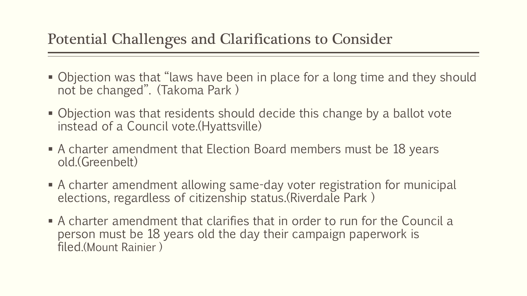## Potential Challenges and Clarifications to Consider

- Objection was that "laws have been in place for a long time and they should not be changed". (Takoma Park )
- Objection was that residents should decide this change by a ballot vote instead of a Council vote.(Hyattsville)
- A charter amendment that Election Board members must be 18 years old.(Greenbelt)
- A charter amendment allowing same-day voter registration for municipal elections, regardless of citizenship status.(Riverdale Park )
- A charter amendment that clarifies that in order to run for the Council a person must be 18 years old the day their campaign paperwork is filed.(Mount Rainier )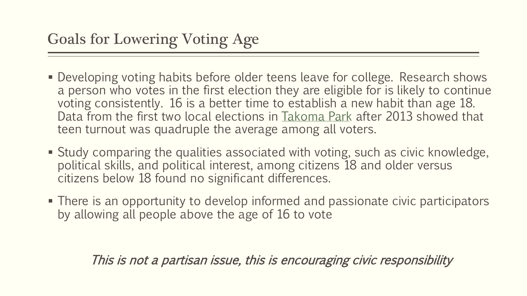- **Developing voting habits before older teens leave for college. Research shows** a person who votes in the first election they are eligible for is likely to continue voting consistently. 16 is a better time to establish a new habit than age 18. Data from the first two local elections in [Takoma Park](mailto:https://www.hyattsvillewire.com/2019/05/17/16-year-olds-vote-hyattsville-riverdale-park-greenbelt/) after 2013 showed that teen turnout was quadruple the average among all voters.
- Study comparing the qualities associated with voting, such as civic knowledge, political skills, and political interest, among citizens 18 and older versus citizens below 18 found no significant differences.
- There is an opportunity to develop informed and passionate civic participators by allowing all people above the age of 16 to vote

This is not a partisan issue, this is encouraging civic responsibility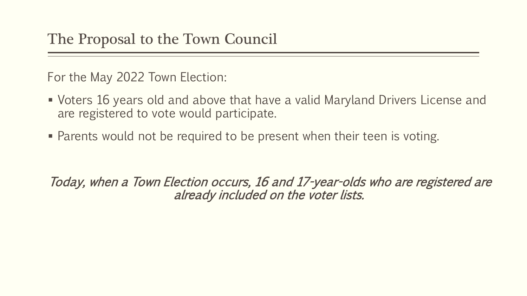For the May 2022 Town Election:

- Voters 16 years old and above that have a valid Maryland Drivers License and are registered to vote would participate.
- Parents would not be required to be present when their teen is voting.

Today, when a Town Election occurs, 16 and 17-year-olds who are registered are already included on the voter lists.